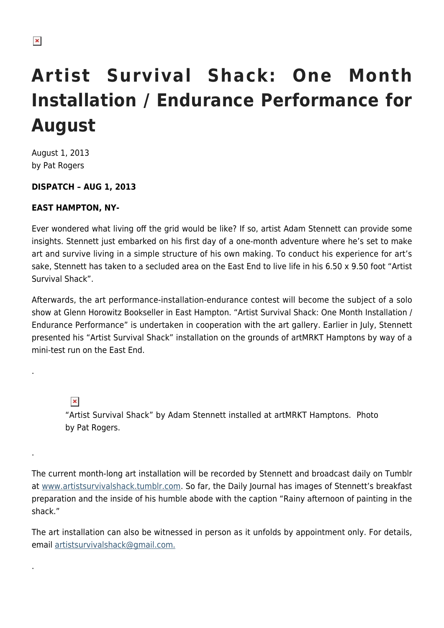# **Artist Survival Shack: One Month Installation / Endurance Performance for August**

August 1, 2013 by Pat Rogers

### **DISPATCH – AUG 1, 2013**

### **EAST HAMPTON, NY-**

Ever wondered what living off the grid would be like? If so, artist Adam Stennett can provide some insights. Stennett just embarked on his first day of a one-month adventure where he's set to make art and survive living in a simple structure of his own making. To conduct his experience for art's sake, Stennett has taken to a secluded area on the East End to live life in his 6.50 x 9.50 foot "Artist Survival Shack".

Afterwards, the art performance-installation-endurance contest will become the subject of a solo show at Glenn Horowitz Bookseller in East Hampton. "Artist Survival Shack: One Month Installation / Endurance Performance" is undertaken in cooperation with the art gallery. Earlier in July, Stennett presented his "Artist Survival Shack" installation on the grounds of artMRKT Hamptons by way of a mini-test run on the East End.

 $\pmb{\times}$ 

.

.

.

"Artist Survival Shack" by Adam Stennett installed at artMRKT Hamptons. Photo by Pat Rogers.

The current month-long art installation will be recorded by Stennett and broadcast daily on Tumblr at [www.artistsurvivalshack.tumblr.com](http://artistsurvivalshack.tumblr.com/). So far, the Daily Journal has images of Stennett's breakfast preparation and the inside of his humble abode with the caption "Rainy afternoon of painting in the shack."

The art installation can also be witnessed in person as it unfolds by appointment only. For details, email [artistsurvivalshack@gmail.com.](mailto:artistsurvivalshack@gmail.com)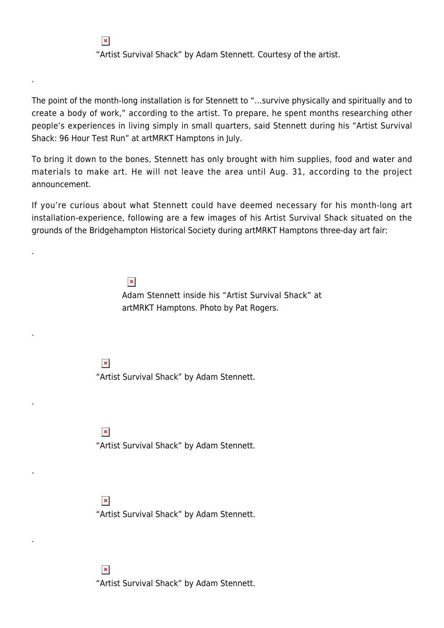"Artist Survival Shack" by Adam Stennett. Courtesy of the artist.

The point of the month-long installation is for Stennett to "…survive physically and spiritually and to create a body of work," according to the artist. To prepare, he spent months researching other people's experiences in living simply in small quarters, said Stennett during his "Artist Survival Shack: 96 Hour Test Run" at artMRKT Hamptons in July.

To bring it down to the bones, Stennett has only brought with him supplies, food and water and materials to make art. He will not leave the area until Aug. 31, according to the project announcement.

If you're curious about what Stennett could have deemed necessary for his month-long art installation-experience, following are a few images of his Artist Survival Shack situated on the grounds of the Bridgehampton Historical Society during artMRKT Hamptons three-day art fair:

#### $\pmb{\times}$

Adam Stennett inside his "Artist Survival Shack" at artMRKT Hamptons. Photo by Pat Rogers.

 $\pmb{\times}$ 

 $\pmb{\times}$ 

.

.

.

.

.

.

"Artist Survival Shack" by Adam Stennett.

 $\pmb{\times}$ 

"Artist Survival Shack" by Adam Stennett.

#### $\pmb{\times}$

"Artist Survival Shack" by Adam Stennett.

 $\pmb{\times}$ "Artist Survival Shack" by Adam Stennett.